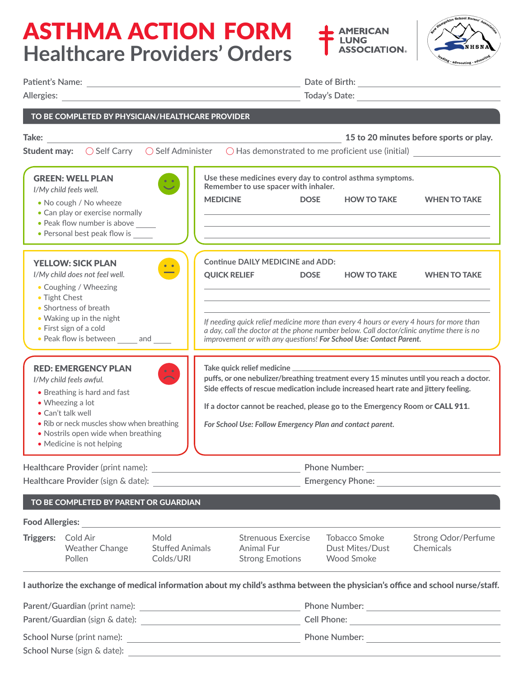## ASTHMA ACTION FORM **Healthcare Providers' Orders**





|                                                                                                                                                                                                                                                                 |                                                                                                                                                                                                                   |                                             | Date of Birth: <u>Alexander State of Birth: Alexander State of Birth:</u>                                                                                                                                                                                                                                                 |             |                                                                                                                                                                                                     |                                                                                                                                                                                                            |  |
|-----------------------------------------------------------------------------------------------------------------------------------------------------------------------------------------------------------------------------------------------------------------|-------------------------------------------------------------------------------------------------------------------------------------------------------------------------------------------------------------------|---------------------------------------------|---------------------------------------------------------------------------------------------------------------------------------------------------------------------------------------------------------------------------------------------------------------------------------------------------------------------------|-------------|-----------------------------------------------------------------------------------------------------------------------------------------------------------------------------------------------------|------------------------------------------------------------------------------------------------------------------------------------------------------------------------------------------------------------|--|
|                                                                                                                                                                                                                                                                 | TO BE COMPLETED BY PHYSICIAN/HEALTHCARE PROVIDER                                                                                                                                                                  |                                             |                                                                                                                                                                                                                                                                                                                           |             |                                                                                                                                                                                                     |                                                                                                                                                                                                            |  |
| Take:                                                                                                                                                                                                                                                           |                                                                                                                                                                                                                   |                                             |                                                                                                                                                                                                                                                                                                                           |             |                                                                                                                                                                                                     | 15 to 20 minutes before sports or play.<br>Student may:<br>$\bigcirc$ Self Carry $\bigcirc$ Self Administer $\bigcirc$ Has demonstrated to me proficient use (initial)                                     |  |
|                                                                                                                                                                                                                                                                 | <b>GREEN: WELL PLAN</b><br>I/My child feels well.<br>• No cough / No wheeze<br>• Can play or exercise normally<br>• Peak flow number is above<br>• Personal best peak flow is                                     | $\ddot{\circ}$                              | Remember to use spacer with inhaler.<br><b>MEDICINE</b>                                                                                                                                                                                                                                                                   | <b>DOSE</b> | Use these medicines every day to control asthma symptoms.<br><b>HOW TO TAKE</b><br>and the control of the control of the control of the control of the control of the control of the control of the | <b>WHEN TO TAKE</b>                                                                                                                                                                                        |  |
|                                                                                                                                                                                                                                                                 | <b>YELLOW: SICK PLAN</b><br>I/My child does not feel well.<br>• Coughing / Wheezing<br>• Tight Chest<br>• Shortness of breath<br>• Waking up in the night<br>• First sign of a cold<br>• Peak flow is between and |                                             | <b>Continue DAILY MEDICINE and ADD:</b><br><b>QUICK RELIEF</b>                                                                                                                                                                                                                                                            | <b>DOSE</b> | <b>HOW TO TAKE</b><br>improvement or with any questions! For School Use: Contact Parent.                                                                                                            | <b>WHEN TO TAKE</b><br>If needing quick relief medicine more than every 4 hours or every 4 hours for more than<br>a day, call the doctor at the phone number below. Call doctor/clinic anytime there is no |  |
| <b>RED: EMERGENCY PLAN</b><br>$\mathbf{L}$<br>I/My child feels awful.<br>• Breathing is hard and fast<br>• Wheezing a lot<br>• Can't talk well<br>• Rib or neck muscles show when breathing<br>• Nostrils open wide when breathing<br>• Medicine is not helping |                                                                                                                                                                                                                   |                                             | puffs, or one nebulizer/breathing treatment every 15 minutes until you reach a doctor.<br>Side effects of rescue medication include increased heart rate and jittery feeling.<br>If a doctor cannot be reached, please go to the Emergency Room or CALL 911.<br>For School Use: Follow Emergency Plan and contact parent. |             |                                                                                                                                                                                                     |                                                                                                                                                                                                            |  |
| Healthcare Provider (print name):<br>Healthcare Provider (sign & date):                                                                                                                                                                                         |                                                                                                                                                                                                                   |                                             | <b>Phone Number:</b><br><u> 1989 - Johann Stoff, Amerikaansk politiker (</u><br><b>Emergency Phone:</b>                                                                                                                                                                                                                   |             |                                                                                                                                                                                                     |                                                                                                                                                                                                            |  |
|                                                                                                                                                                                                                                                                 | TO BE COMPLETED BY PARENT OR GUARDIAN                                                                                                                                                                             |                                             |                                                                                                                                                                                                                                                                                                                           |             |                                                                                                                                                                                                     |                                                                                                                                                                                                            |  |
| <b>Food Allergies:</b>                                                                                                                                                                                                                                          |                                                                                                                                                                                                                   |                                             |                                                                                                                                                                                                                                                                                                                           |             |                                                                                                                                                                                                     |                                                                                                                                                                                                            |  |
| <b>Triggers:</b>                                                                                                                                                                                                                                                | Cold Air<br><b>Weather Change</b><br>Pollen                                                                                                                                                                       | Mold<br><b>Stuffed Animals</b><br>Colds/URI | Strenuous Exercise<br>Animal Fur<br><b>Strong Emotions</b>                                                                                                                                                                                                                                                                |             | <b>Tobacco Smoke</b><br>Dust Mites/Dust<br><b>Wood Smoke</b>                                                                                                                                        | <b>Strong Odor/Perfume</b><br>Chemicals                                                                                                                                                                    |  |

I authorize the exchange of medical information about my child's asthma between the physician's office and school nurse/staff.

| Parent/Guardian (print name):     | <b>Phone Number:</b> |
|-----------------------------------|----------------------|
| Parent/Guardian (sign & date):    | Cell Phone:          |
| <b>School Nurse (print name):</b> | <b>Phone Number:</b> |
| School Nurse (sign & date):       |                      |